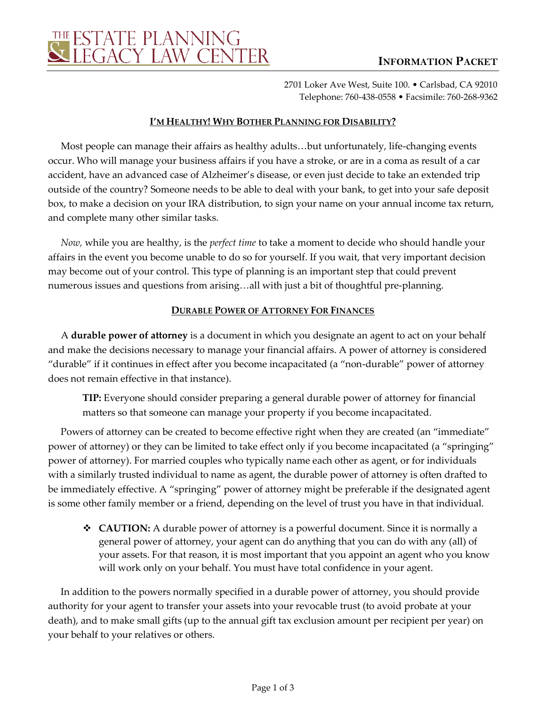

2701 Loker Ave West, Suite 100. • Carlsbad, CA 92010 Telephone: 760-438-0558 • Facsimile: 760-268-9362

#### **I'M HEALTHY! WHY BOTHER PLANNING FOR DISABILITY?**

Most people can manage their affairs as healthy adults…but unfortunately, life-changing events occur. Who will manage your business affairs if you have a stroke, or are in a coma as result of a car accident, have an advanced case of Alzheimer's disease, or even just decide to take an extended trip outside of the country? Someone needs to be able to deal with your bank, to get into your safe deposit box, to make a decision on your IRA distribution, to sign your name on your annual income tax return, and complete many other similar tasks.

*Now,* while you are healthy, is the *perfect time* to take a moment to decide who should handle your affairs in the event you become unable to do so for yourself. If you wait, that very important decision may become out of your control. This type of planning is an important step that could prevent numerous issues and questions from arising…all with just a bit of thoughtful pre-planning.

## **DURABLE POWER OF ATTORNEY FOR FINANCES**

A **durable power of attorney** is a document in which you designate an agent to act on your behalf and make the decisions necessary to manage your financial affairs. A power of attorney is considered "durable" if it continues in effect after you become incapacitated (a "non-durable" power of attorney does not remain effective in that instance).

**TIP:** Everyone should consider preparing a general durable power of attorney for financial matters so that someone can manage your property if you become incapacitated.

Powers of attorney can be created to become effective right when they are created (an "immediate" power of attorney) or they can be limited to take effect only if you become incapacitated (a "springing" power of attorney). For married couples who typically name each other as agent, or for individuals with a similarly trusted individual to name as agent, the durable power of attorney is often drafted to be immediately effective. A "springing" power of attorney might be preferable if the designated agent is some other family member or a friend, depending on the level of trust you have in that individual.

 **CAUTION:** A durable power of attorney is a powerful document. Since it is normally a general power of attorney, your agent can do anything that you can do with any (all) of your assets. For that reason, it is most important that you appoint an agent who you know will work only on your behalf. You must have total confidence in your agent.

In addition to the powers normally specified in a durable power of attorney, you should provide authority for your agent to transfer your assets into your revocable trust (to avoid probate at your death), and to make small gifts (up to the annual gift tax exclusion amount per recipient per year) on your behalf to your relatives or others.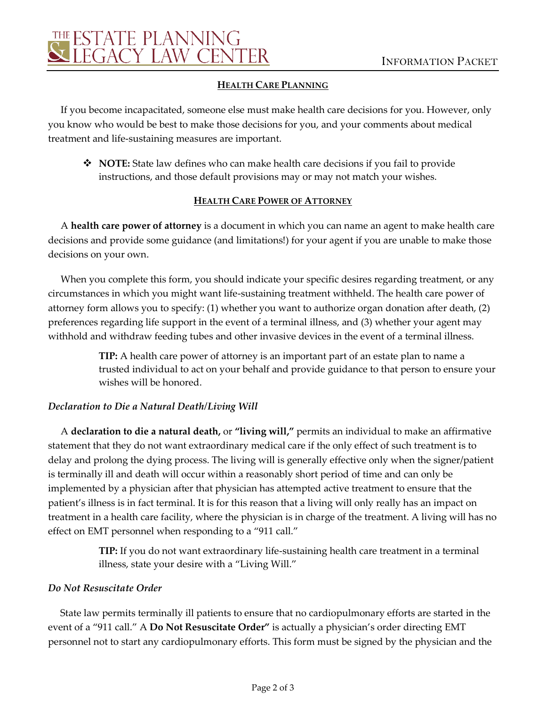

#### **HEALTH CARE PLANNING**

If you become incapacitated, someone else must make health care decisions for you. However, only you know who would be best to make those decisions for you, and your comments about medical treatment and life-sustaining measures are important.

 **NOTE:** State law defines who can make health care decisions if you fail to provide instructions, and those default provisions may or may not match your wishes.

## **HEALTH CARE POWER OF ATTORNEY**

A **health care power of attorney** is a document in which you can name an agent to make health care decisions and provide some guidance (and limitations!) for your agent if you are unable to make those decisions on your own.

When you complete this form, you should indicate your specific desires regarding treatment, or any circumstances in which you might want life-sustaining treatment withheld. The health care power of attorney form allows you to specify: (1) whether you want to authorize organ donation after death, (2) preferences regarding life support in the event of a terminal illness, and (3) whether your agent may withhold and withdraw feeding tubes and other invasive devices in the event of a terminal illness.

> **TIP:** A health care power of attorney is an important part of an estate plan to name a trusted individual to act on your behalf and provide guidance to that person to ensure your wishes will be honored.

# *Declaration to Die a Natural Death/Living Will*

A **declaration to die a natural death,** or **"living will,"** permits an individual to make an affirmative statement that they do not want extraordinary medical care if the only effect of such treatment is to delay and prolong the dying process. The living will is generally effective only when the signer/patient is terminally ill and death will occur within a reasonably short period of time and can only be implemented by a physician after that physician has attempted active treatment to ensure that the patient's illness is in fact terminal. It is for this reason that a living will only really has an impact on treatment in a health care facility, where the physician is in charge of the treatment. A living will has no effect on EMT personnel when responding to a "911 call."

> **TIP:** If you do not want extraordinary life-sustaining health care treatment in a terminal illness, state your desire with a "Living Will."

#### *Do Not Resuscitate Order*

State law permits terminally ill patients to ensure that no cardiopulmonary efforts are started in the event of a "911 call." A **Do Not Resuscitate Order"** is actually a physician's order directing EMT personnel not to start any cardiopulmonary efforts. This form must be signed by the physician and the